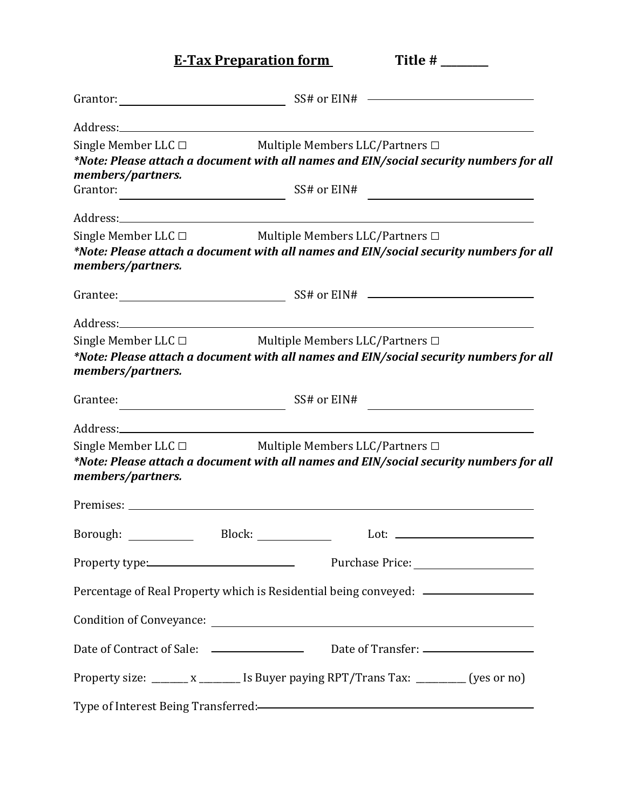**E-Tax Preparation form** Title #

|                                               | SS# or EIN#                                                                                                                                                                                                                   |
|-----------------------------------------------|-------------------------------------------------------------------------------------------------------------------------------------------------------------------------------------------------------------------------------|
|                                               |                                                                                                                                                                                                                               |
| Single Member LLC $\Box$<br>members/partners. | Multiple Members LLC/Partners □<br>*Note: Please attach a document with all names and EIN/social security numbers for all                                                                                                     |
| Grantor:                                      | SS# or EIN#<br><u> 1989 - Johann Barn, mars ann an t-Amhain Aonaich an t-Aonaich an t-Aonaich ann an t-Aonaich ann an t-Aonaich</u>                                                                                           |
|                                               |                                                                                                                                                                                                                               |
| Single Member LLC $\Box$<br>members/partners. | Multiple Members LLC/Partners $\Box$<br>*Note: Please attach a document with all names and EIN/social security numbers for all                                                                                                |
|                                               |                                                                                                                                                                                                                               |
|                                               |                                                                                                                                                                                                                               |
| Single Member LLC $\Box$<br>members/partners. | Multiple Members LLC/Partners □<br>*Note: Please attach a document with all names and EIN/social security numbers for all                                                                                                     |
| Grantee:                                      | SS# or EIN#<br><u> 1980 - Johann Barbara, martxa a</u>                                                                                                                                                                        |
|                                               |                                                                                                                                                                                                                               |
| Single Member LLC $\Box$<br>members/partners. | Multiple Members LLC/Partners $\Box$<br>*Note: Please attach a document with all names and EIN/social security numbers for all                                                                                                |
|                                               | Premises: North Communication of the Communication of the Communication of the Communication of the Communication of the Communication of the Communication of the Communication of the Communication of the Communication of |
| Borough:                                      | Block:<br>Lot:                                                                                                                                                                                                                |
| Property type: No. 2014                       |                                                                                                                                                                                                                               |
|                                               | Percentage of Real Property which is Residential being conveyed: _______________                                                                                                                                              |
|                                               |                                                                                                                                                                                                                               |
|                                               |                                                                                                                                                                                                                               |
|                                               | Property size: _______ x ________ Is Buyer paying RPT/Trans Tax: _________ (yes or no)                                                                                                                                        |
|                                               | Type of Interest Being Transferred: Transferred:                                                                                                                                                                              |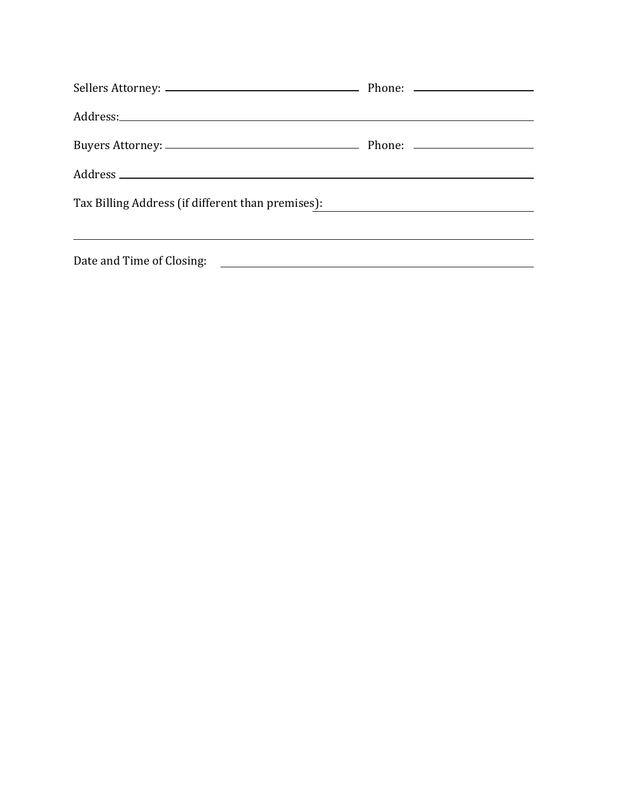| Tax Billing Address (if different than premises): ______________________________ |  |  |  |
|----------------------------------------------------------------------------------|--|--|--|
|                                                                                  |  |  |  |
|                                                                                  |  |  |  |
|                                                                                  |  |  |  |